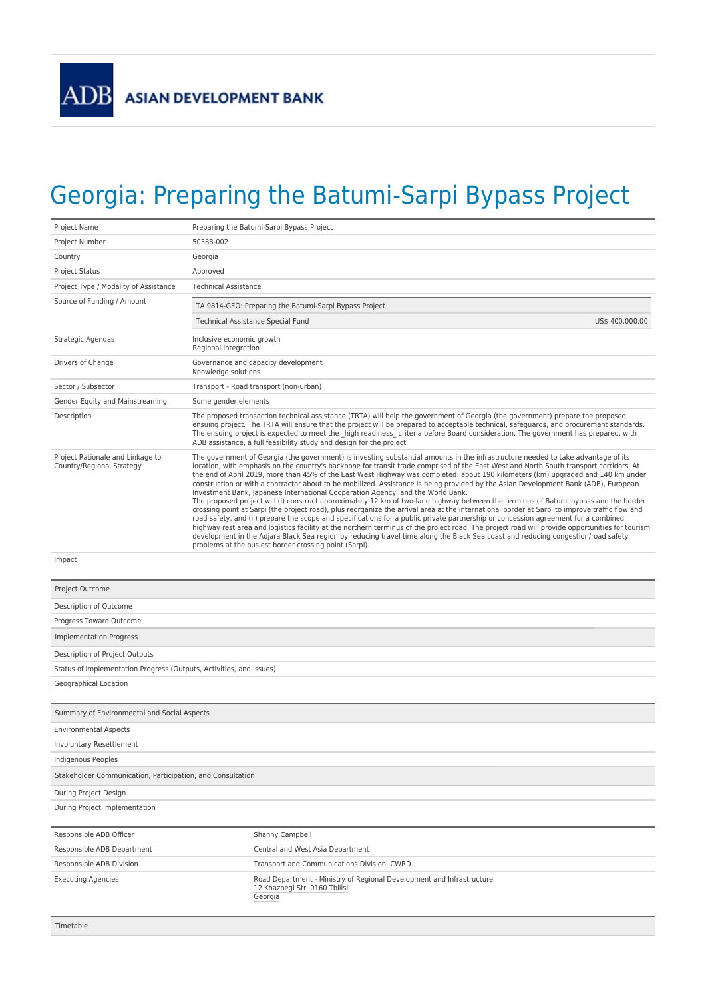## Georgia: Preparing the Batumi-Sarpi Bypass Project

| Project Name                                                        | Preparing the Batumi-Sarpi Bypass Project                                                                                                                                                                                                                                                                                                                                                                                                                                                                                                                                                                                                                                                                                                                                                                                                                                                                                                                                                                                                                                                                                                                                                                                                                                                                                                                                                                                |  |  |  |
|---------------------------------------------------------------------|--------------------------------------------------------------------------------------------------------------------------------------------------------------------------------------------------------------------------------------------------------------------------------------------------------------------------------------------------------------------------------------------------------------------------------------------------------------------------------------------------------------------------------------------------------------------------------------------------------------------------------------------------------------------------------------------------------------------------------------------------------------------------------------------------------------------------------------------------------------------------------------------------------------------------------------------------------------------------------------------------------------------------------------------------------------------------------------------------------------------------------------------------------------------------------------------------------------------------------------------------------------------------------------------------------------------------------------------------------------------------------------------------------------------------|--|--|--|
| Project Number                                                      | 50388-002                                                                                                                                                                                                                                                                                                                                                                                                                                                                                                                                                                                                                                                                                                                                                                                                                                                                                                                                                                                                                                                                                                                                                                                                                                                                                                                                                                                                                |  |  |  |
| Country                                                             | Georgia                                                                                                                                                                                                                                                                                                                                                                                                                                                                                                                                                                                                                                                                                                                                                                                                                                                                                                                                                                                                                                                                                                                                                                                                                                                                                                                                                                                                                  |  |  |  |
| <b>Project Status</b>                                               | Approved                                                                                                                                                                                                                                                                                                                                                                                                                                                                                                                                                                                                                                                                                                                                                                                                                                                                                                                                                                                                                                                                                                                                                                                                                                                                                                                                                                                                                 |  |  |  |
| Project Type / Modality of Assistance                               | <b>Technical Assistance</b>                                                                                                                                                                                                                                                                                                                                                                                                                                                                                                                                                                                                                                                                                                                                                                                                                                                                                                                                                                                                                                                                                                                                                                                                                                                                                                                                                                                              |  |  |  |
| Source of Funding / Amount                                          |                                                                                                                                                                                                                                                                                                                                                                                                                                                                                                                                                                                                                                                                                                                                                                                                                                                                                                                                                                                                                                                                                                                                                                                                                                                                                                                                                                                                                          |  |  |  |
|                                                                     | TA 9814-GEO: Preparing the Batumi-Sarpi Bypass Project                                                                                                                                                                                                                                                                                                                                                                                                                                                                                                                                                                                                                                                                                                                                                                                                                                                                                                                                                                                                                                                                                                                                                                                                                                                                                                                                                                   |  |  |  |
|                                                                     | US\$ 400,000.00<br>Technical Assistance Special Fund                                                                                                                                                                                                                                                                                                                                                                                                                                                                                                                                                                                                                                                                                                                                                                                                                                                                                                                                                                                                                                                                                                                                                                                                                                                                                                                                                                     |  |  |  |
| Strategic Agendas                                                   | Inclusive economic growth<br>Regional integration                                                                                                                                                                                                                                                                                                                                                                                                                                                                                                                                                                                                                                                                                                                                                                                                                                                                                                                                                                                                                                                                                                                                                                                                                                                                                                                                                                        |  |  |  |
| Drivers of Change                                                   | Governance and capacity development<br>Knowledge solutions                                                                                                                                                                                                                                                                                                                                                                                                                                                                                                                                                                                                                                                                                                                                                                                                                                                                                                                                                                                                                                                                                                                                                                                                                                                                                                                                                               |  |  |  |
| Sector / Subsector                                                  | Transport - Road transport (non-urban)                                                                                                                                                                                                                                                                                                                                                                                                                                                                                                                                                                                                                                                                                                                                                                                                                                                                                                                                                                                                                                                                                                                                                                                                                                                                                                                                                                                   |  |  |  |
| Gender Equity and Mainstreaming                                     | Some gender elements                                                                                                                                                                                                                                                                                                                                                                                                                                                                                                                                                                                                                                                                                                                                                                                                                                                                                                                                                                                                                                                                                                                                                                                                                                                                                                                                                                                                     |  |  |  |
| Description                                                         | The proposed transaction technical assistance (TRTA) will help the government of Georgia (the government) prepare the proposed<br>ensuing project. The TRTA will ensure that the project will be prepared to acceptable technical, safeguards, and procurement standards.<br>The ensuing project is expected to meet the high readiness criteria before Board consideration. The government has prepared, with<br>ADB assistance, a full feasibility study and design for the project.                                                                                                                                                                                                                                                                                                                                                                                                                                                                                                                                                                                                                                                                                                                                                                                                                                                                                                                                   |  |  |  |
| Project Rationale and Linkage to<br>Country/Regional Strategy       | The government of Georgia (the government) is investing substantial amounts in the infrastructure needed to take advantage of its<br>location, with emphasis on the country's backbone for transit trade comprised of the East West and North South transport corridors. At<br>the end of April 2019, more than 45% of the East West Highway was completed: about 190 kilometers (km) upgraded and 140 km under<br>construction or with a contractor about to be mobilized. Assistance is being provided by the Asian Development Bank (ADB), European<br>Investment Bank, Japanese International Cooperation Agency, and the World Bank.<br>The proposed project will (i) construct approximately 12 km of two-lane highway between the terminus of Batumi bypass and the border<br>crossing point at Sarpi (the project road), plus reorganize the arrival area at the international border at Sarpi to improve traffic flow and<br>road safety, and (ii) prepare the scope and specifications for a public private partnership or concession agreement for a combined<br>highway rest area and logistics facility at the northern terminus of the project road. The project road will provide opportunities for tourism<br>development in the Adjara Black Sea region by reducing travel time along the Black Sea coast and reducing congestion/road safety<br>problems at the busiest border crossing point (Sarpi). |  |  |  |
| Impact                                                              |                                                                                                                                                                                                                                                                                                                                                                                                                                                                                                                                                                                                                                                                                                                                                                                                                                                                                                                                                                                                                                                                                                                                                                                                                                                                                                                                                                                                                          |  |  |  |
|                                                                     |                                                                                                                                                                                                                                                                                                                                                                                                                                                                                                                                                                                                                                                                                                                                                                                                                                                                                                                                                                                                                                                                                                                                                                                                                                                                                                                                                                                                                          |  |  |  |
| Project Outcome                                                     |                                                                                                                                                                                                                                                                                                                                                                                                                                                                                                                                                                                                                                                                                                                                                                                                                                                                                                                                                                                                                                                                                                                                                                                                                                                                                                                                                                                                                          |  |  |  |
| Description of Outcome                                              |                                                                                                                                                                                                                                                                                                                                                                                                                                                                                                                                                                                                                                                                                                                                                                                                                                                                                                                                                                                                                                                                                                                                                                                                                                                                                                                                                                                                                          |  |  |  |
| Progress Toward Outcome                                             |                                                                                                                                                                                                                                                                                                                                                                                                                                                                                                                                                                                                                                                                                                                                                                                                                                                                                                                                                                                                                                                                                                                                                                                                                                                                                                                                                                                                                          |  |  |  |
| Implementation Progress                                             |                                                                                                                                                                                                                                                                                                                                                                                                                                                                                                                                                                                                                                                                                                                                                                                                                                                                                                                                                                                                                                                                                                                                                                                                                                                                                                                                                                                                                          |  |  |  |
| Description of Project Outputs                                      |                                                                                                                                                                                                                                                                                                                                                                                                                                                                                                                                                                                                                                                                                                                                                                                                                                                                                                                                                                                                                                                                                                                                                                                                                                                                                                                                                                                                                          |  |  |  |
| Status of Implementation Progress (Outputs, Activities, and Issues) |                                                                                                                                                                                                                                                                                                                                                                                                                                                                                                                                                                                                                                                                                                                                                                                                                                                                                                                                                                                                                                                                                                                                                                                                                                                                                                                                                                                                                          |  |  |  |
| Geographical Location                                               |                                                                                                                                                                                                                                                                                                                                                                                                                                                                                                                                                                                                                                                                                                                                                                                                                                                                                                                                                                                                                                                                                                                                                                                                                                                                                                                                                                                                                          |  |  |  |
|                                                                     |                                                                                                                                                                                                                                                                                                                                                                                                                                                                                                                                                                                                                                                                                                                                                                                                                                                                                                                                                                                                                                                                                                                                                                                                                                                                                                                                                                                                                          |  |  |  |
| Summary of Environmental and Social Aspects                         |                                                                                                                                                                                                                                                                                                                                                                                                                                                                                                                                                                                                                                                                                                                                                                                                                                                                                                                                                                                                                                                                                                                                                                                                                                                                                                                                                                                                                          |  |  |  |
| <b>Environmental Aspects</b>                                        |                                                                                                                                                                                                                                                                                                                                                                                                                                                                                                                                                                                                                                                                                                                                                                                                                                                                                                                                                                                                                                                                                                                                                                                                                                                                                                                                                                                                                          |  |  |  |
| Involuntary Resettlement                                            |                                                                                                                                                                                                                                                                                                                                                                                                                                                                                                                                                                                                                                                                                                                                                                                                                                                                                                                                                                                                                                                                                                                                                                                                                                                                                                                                                                                                                          |  |  |  |
| Indigenous Peoples                                                  |                                                                                                                                                                                                                                                                                                                                                                                                                                                                                                                                                                                                                                                                                                                                                                                                                                                                                                                                                                                                                                                                                                                                                                                                                                                                                                                                                                                                                          |  |  |  |
| Stakeholder Communication, Participation, and Consultation          |                                                                                                                                                                                                                                                                                                                                                                                                                                                                                                                                                                                                                                                                                                                                                                                                                                                                                                                                                                                                                                                                                                                                                                                                                                                                                                                                                                                                                          |  |  |  |
| During Project Design                                               |                                                                                                                                                                                                                                                                                                                                                                                                                                                                                                                                                                                                                                                                                                                                                                                                                                                                                                                                                                                                                                                                                                                                                                                                                                                                                                                                                                                                                          |  |  |  |
| During Project Implementation                                       |                                                                                                                                                                                                                                                                                                                                                                                                                                                                                                                                                                                                                                                                                                                                                                                                                                                                                                                                                                                                                                                                                                                                                                                                                                                                                                                                                                                                                          |  |  |  |
|                                                                     |                                                                                                                                                                                                                                                                                                                                                                                                                                                                                                                                                                                                                                                                                                                                                                                                                                                                                                                                                                                                                                                                                                                                                                                                                                                                                                                                                                                                                          |  |  |  |
| Responsible ADB Officer                                             | Shanny Campbell                                                                                                                                                                                                                                                                                                                                                                                                                                                                                                                                                                                                                                                                                                                                                                                                                                                                                                                                                                                                                                                                                                                                                                                                                                                                                                                                                                                                          |  |  |  |
| Responsible ADB Department                                          | Central and West Asia Department                                                                                                                                                                                                                                                                                                                                                                                                                                                                                                                                                                                                                                                                                                                                                                                                                                                                                                                                                                                                                                                                                                                                                                                                                                                                                                                                                                                         |  |  |  |
| Responsible ADB Division                                            | Transport and Communications Division, CWRD                                                                                                                                                                                                                                                                                                                                                                                                                                                                                                                                                                                                                                                                                                                                                                                                                                                                                                                                                                                                                                                                                                                                                                                                                                                                                                                                                                              |  |  |  |
| <b>Executing Agencies</b>                                           | Road Department - Ministry of Regional Development and Infrastructure<br>12 Khazbegi Str. 0160 Tbilisi<br>Georgia                                                                                                                                                                                                                                                                                                                                                                                                                                                                                                                                                                                                                                                                                                                                                                                                                                                                                                                                                                                                                                                                                                                                                                                                                                                                                                        |  |  |  |
|                                                                     |                                                                                                                                                                                                                                                                                                                                                                                                                                                                                                                                                                                                                                                                                                                                                                                                                                                                                                                                                                                                                                                                                                                                                                                                                                                                                                                                                                                                                          |  |  |  |